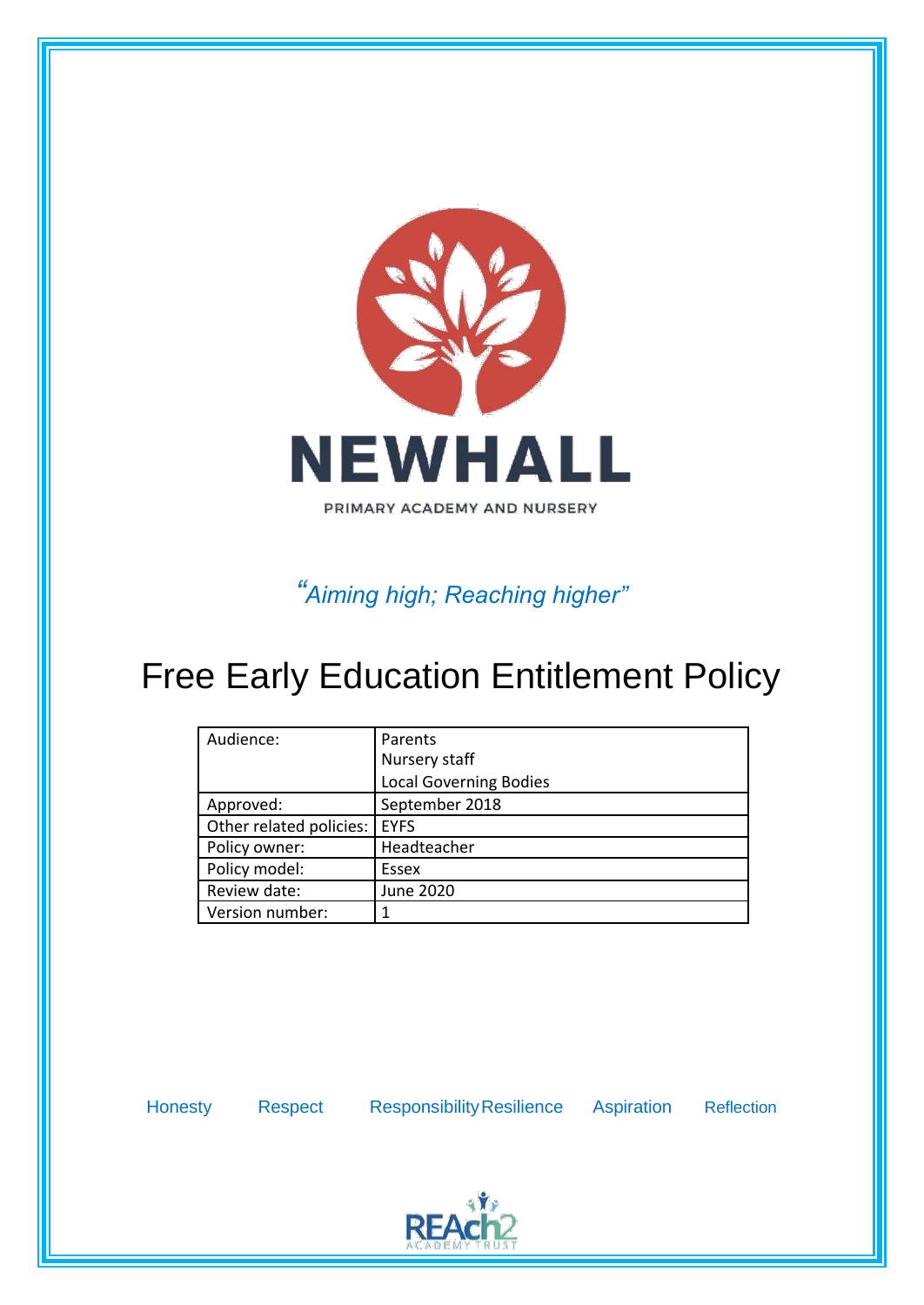

*"Aiming high; Reaching higher"*

# Free Early Education Entitlement Policy

| Audience:               | Parents                       |
|-------------------------|-------------------------------|
|                         | Nursery staff                 |
|                         | <b>Local Governing Bodies</b> |
| Approved:               | September 2018                |
| Other related policies: | <b>EYFS</b>                   |
| Policy owner:           | Headteacher                   |
| Policy model:           | Essex                         |
| Review date:            | June 2020                     |
| Version number:         |                               |

Honesty Respect ResponsibilityResilience Aspiration Reflection

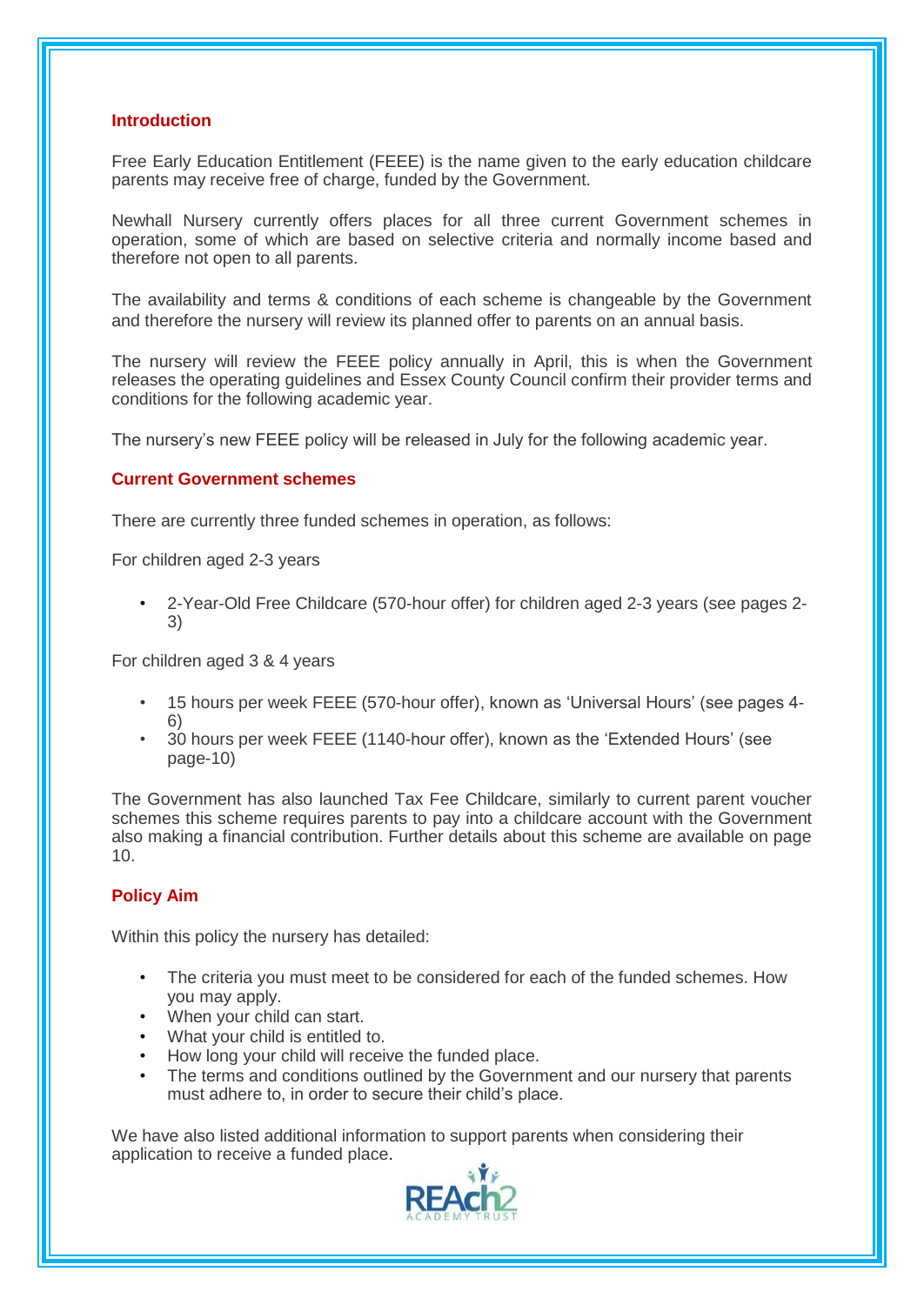# **Introduction**

Free Early Education Entitlement (FEEE) is the name given to the early education childcare parents may receive free of charge, funded by the Government.

Newhall Nursery currently offers places for all three current Government schemes in operation, some of which are based on selective criteria and normally income based and therefore not open to all parents.

The availability and terms & conditions of each scheme is changeable by the Government and therefore the nursery will review its planned offer to parents on an annual basis.

The nursery will review the FEEE policy annually in April, this is when the Government releases the operating guidelines and Essex County Council confirm their provider terms and conditions for the following academic year.

The nursery's new FEEE policy will be released in July for the following academic year.

# **Current Government schemes**

There are currently three funded schemes in operation, as follows:

For children aged 2-3 years

• 2-Year-Old Free Childcare (570-hour offer) for children aged 2-3 years (see pages 2- 3)

For children aged 3 & 4 years

- 15 hours per week FEEE (570-hour offer), known as 'Universal Hours' (see pages 4- 6)
- 30 hours per week FEEE (1140-hour offer), known as the 'Extended Hours' (see page-10)

The Government has also launched Tax Fee Childcare, similarly to current parent voucher schemes this scheme requires parents to pay into a childcare account with the Government also making a financial contribution. Further details about this scheme are available on page 10.

# **Policy Aim**

Within this policy the nursery has detailed:

- The criteria you must meet to be considered for each of the funded schemes. How you may apply.
- When your child can start.
- What your child is entitled to.
- How long your child will receive the funded place.
- The terms and conditions outlined by the Government and our nursery that parents must adhere to, in order to secure their child's place.

We have also listed additional information to support parents when considering their application to receive a funded place.

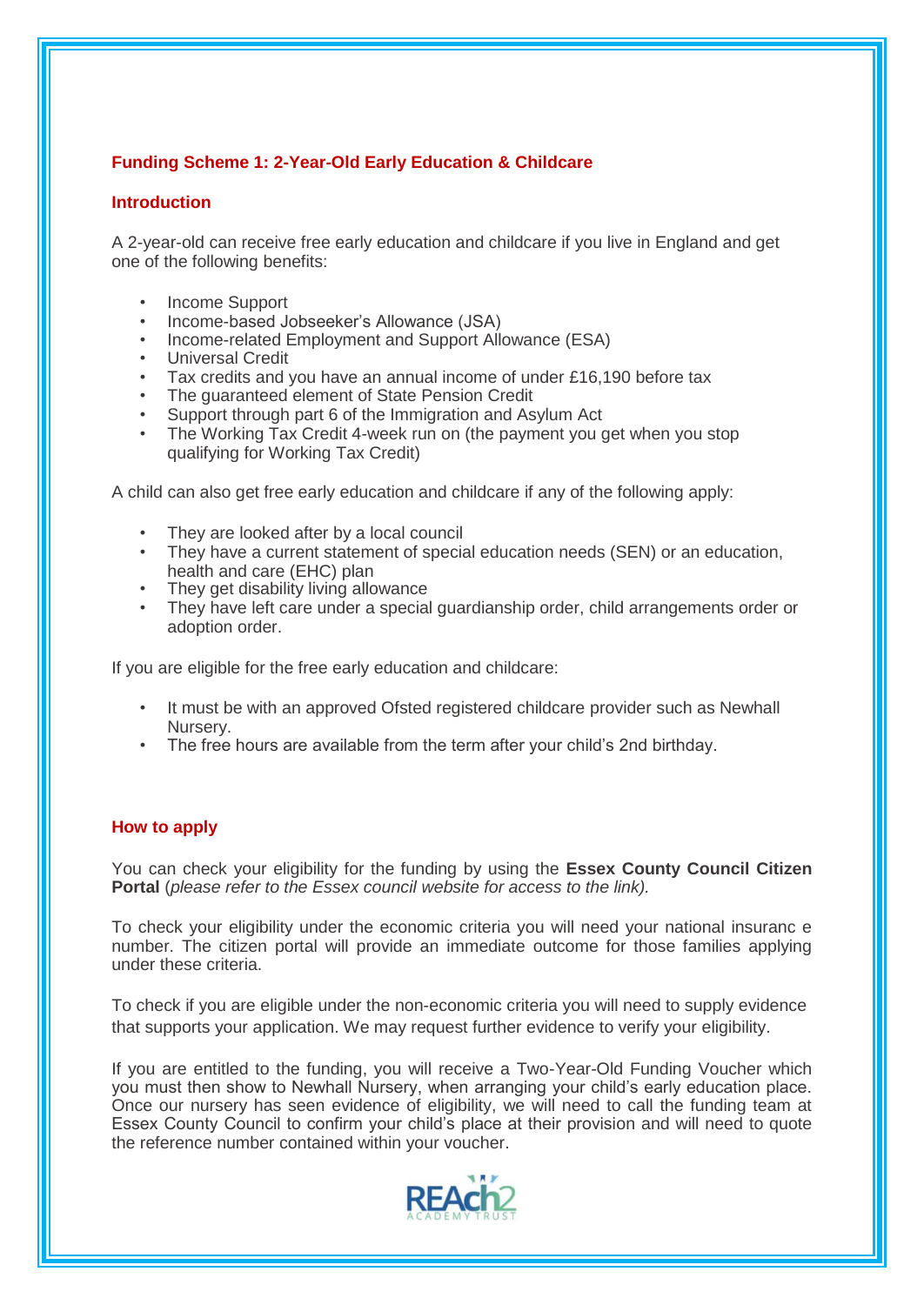# **Funding Scheme 1: 2-Year-Old Early Education & Childcare**

# **Introduction**

A 2-year-old can receive free early education and childcare if you live in England and get one of the following benefits:

- Income Support
- Income-based Jobseeker's Allowance (JSA)
- Income-related Employment and Support Allowance (ESA)
- Universal Credit
- Tax credits and you have an annual income of under £16,190 before tax
- The guaranteed element of State Pension Credit
- Support through part 6 of the Immigration and Asylum Act
- The Working Tax Credit 4-week run on (the payment you get when you stop qualifying for Working Tax Credit)

A child can also get free early education and childcare if any of the following apply:

- They are looked after by a local council
- They have a current statement of special education needs (SEN) or an education, health and care (EHC) plan
- They get disability living allowance
- They have left care under a special guardianship order, child arrangements order or adoption order.

If you are eligible for the free early education and childcare:

- It must be with an approved Ofsted registered childcare provider such as Newhall Nursery.
- The free hours are available from the term after your child's 2nd birthday.

# **How to apply**

You can check your eligibility for the funding by using the **Essex County Council Citizen Portal** (*please refer to the Essex council website for access to the link).*

To check your eligibility under the economic criteria you will need your national insuranc e number. The citizen portal will provide an immediate outcome for those families applying under these criteria.

To check if you are eligible under the non-economic criteria you will need to supply evidence that supports your application. We may request further evidence to verify your eligibility.

If you are entitled to the funding, you will receive a Two-Year-Old Funding Voucher which you must then show to Newhall Nursery, when arranging your child's early education place. Once our nursery has seen evidence of eligibility, we will need to call the funding team at Essex County Council to confirm your child's place at their provision and will need to quote the reference number contained within your voucher.

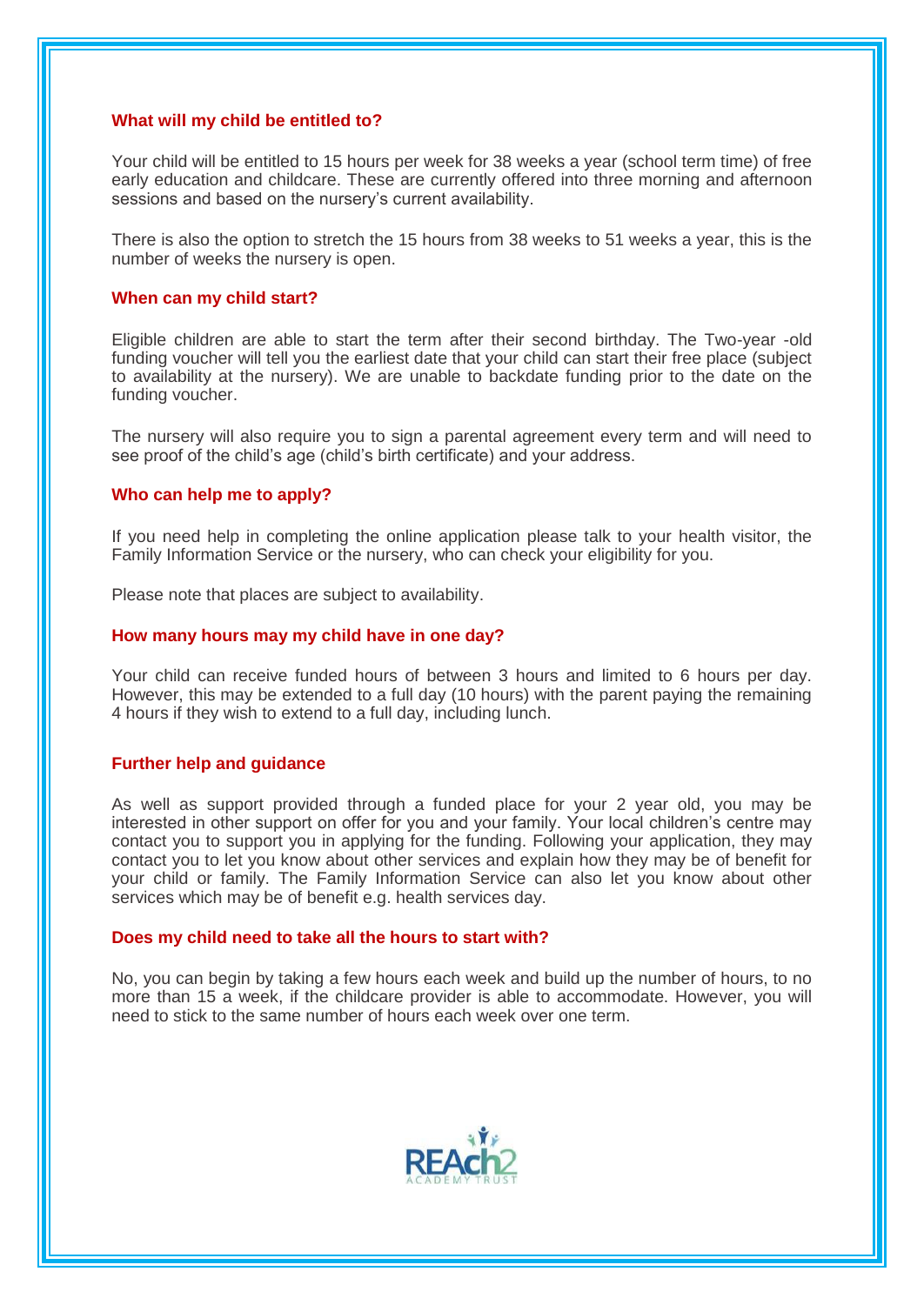#### **What will my child be entitled to?**

Your child will be entitled to 15 hours per week for 38 weeks a year (school term time) of free early education and childcare. These are currently offered into three morning and afternoon sessions and based on the nursery's current availability.

There is also the option to stretch the 15 hours from 38 weeks to 51 weeks a year, this is the number of weeks the nursery is open.

#### **When can my child start?**

Eligible children are able to start the term after their second birthday. The Two-year -old funding voucher will tell you the earliest date that your child can start their free place (subject to availability at the nursery). We are unable to backdate funding prior to the date on the funding voucher.

The nursery will also require you to sign a parental agreement every term and will need to see proof of the child's age (child's birth certificate) and your address.

## **Who can help me to apply?**

If you need help in completing the online application please talk to your health visitor, the Family Information Service or the nursery, who can check your eligibility for you.

Please note that places are subject to availability.

#### **How many hours may my child have in one day?**

Your child can receive funded hours of between 3 hours and limited to 6 hours per day. However, this may be extended to a full day (10 hours) with the parent paying the remaining 4 hours if they wish to extend to a full day, including lunch.

#### **Further help and guidance**

As well as support provided through a funded place for your 2 year old, you may be interested in other support on offer for you and your family. Your local children's centre may contact you to support you in applying for the funding. Following your application, they may contact you to let you know about other services and explain how they may be of benefit for your child or family. The Family Information Service can also let you know about other services which may be of benefit e.g. health services day.

#### **Does my child need to take all the hours to start with?**

No, you can begin by taking a few hours each week and build up the number of hours, to no more than 15 a week, if the childcare provider is able to accommodate. However, you will need to stick to the same number of hours each week over one term.

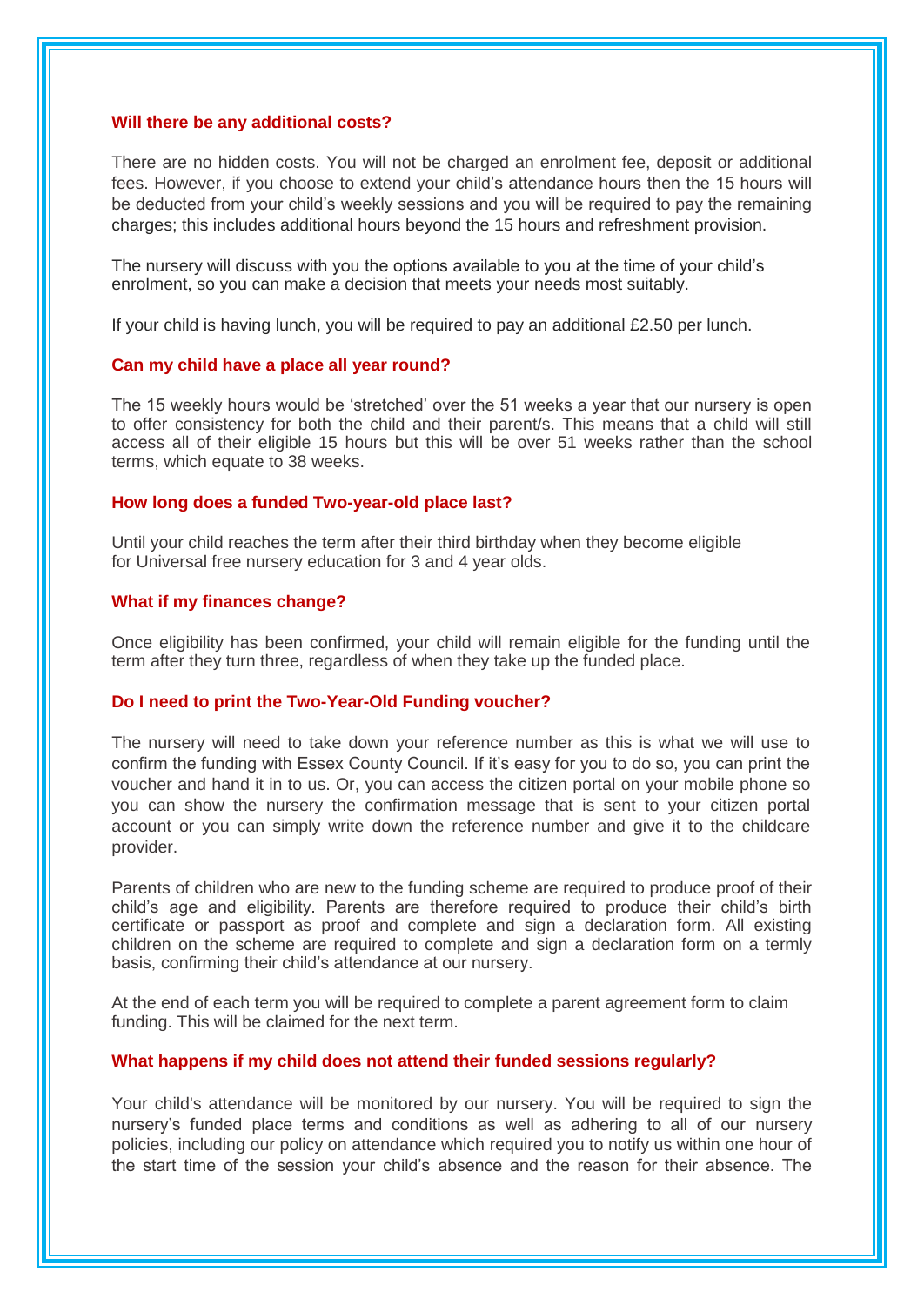#### **Will there be any additional costs?**

There are no hidden costs. You will not be charged an enrolment fee, deposit or additional fees. However, if you choose to extend your child's attendance hours then the 15 hours will be deducted from your child's weekly sessions and you will be required to pay the remaining charges; this includes additional hours beyond the 15 hours and refreshment provision.

The nursery will discuss with you the options available to you at the time of your child's enrolment, so you can make a decision that meets your needs most suitably.

If your child is having lunch, you will be required to pay an additional  $£2.50$  per lunch.

#### **Can my child have a place all year round?**

The 15 weekly hours would be 'stretched' over the 51 weeks a year that our nursery is open to offer consistency for both the child and their parent/s. This means that a child will still access all of their eligible 15 hours but this will be over 51 weeks rather than the school terms, which equate to 38 weeks.

#### **How long does a funded Two-year-old place last?**

Until your child reaches the term after their third birthday when they become eligible for Universal free nursery education for 3 and 4 year olds.

## **What if my finances change?**

Once eligibility has been confirmed, your child will remain eligible for the funding until the term after they turn three, regardless of when they take up the funded place.

#### **Do I need to print the Two-Year-Old Funding voucher?**

The nursery will need to take down your reference number as this is what we will use to confirm the funding with Essex County Council. If it's easy for you to do so, you can print the voucher and hand it in to us. Or, you can access the citizen portal on your mobile phone so you can show the nursery the confirmation message that is sent to your citizen portal account or you can simply write down the reference number and give it to the childcare provider.

Parents of children who are new to the funding scheme are required to produce proof of their child's age and eligibility. Parents are therefore required to produce their child's birth certificate or passport as proof and complete and sign a declaration form. All existing children on the scheme are required to complete and sign a declaration form on a termly basis, confirming their child's attendance at our nursery.

At the end of each term you will be required to complete a parent agreement form to claim funding. This will be claimed for the next term.

#### **What happens if my child does not attend their funded sessions regularly?**

Your child's attendance will be monitored by our nursery. You will be required to sign the nursery's funded place terms and conditions as well as adhering to all of our nursery policies, including our policy on attendance which required you to notify us within one hour of the start time of the session your child's absence and the reason for their absence. The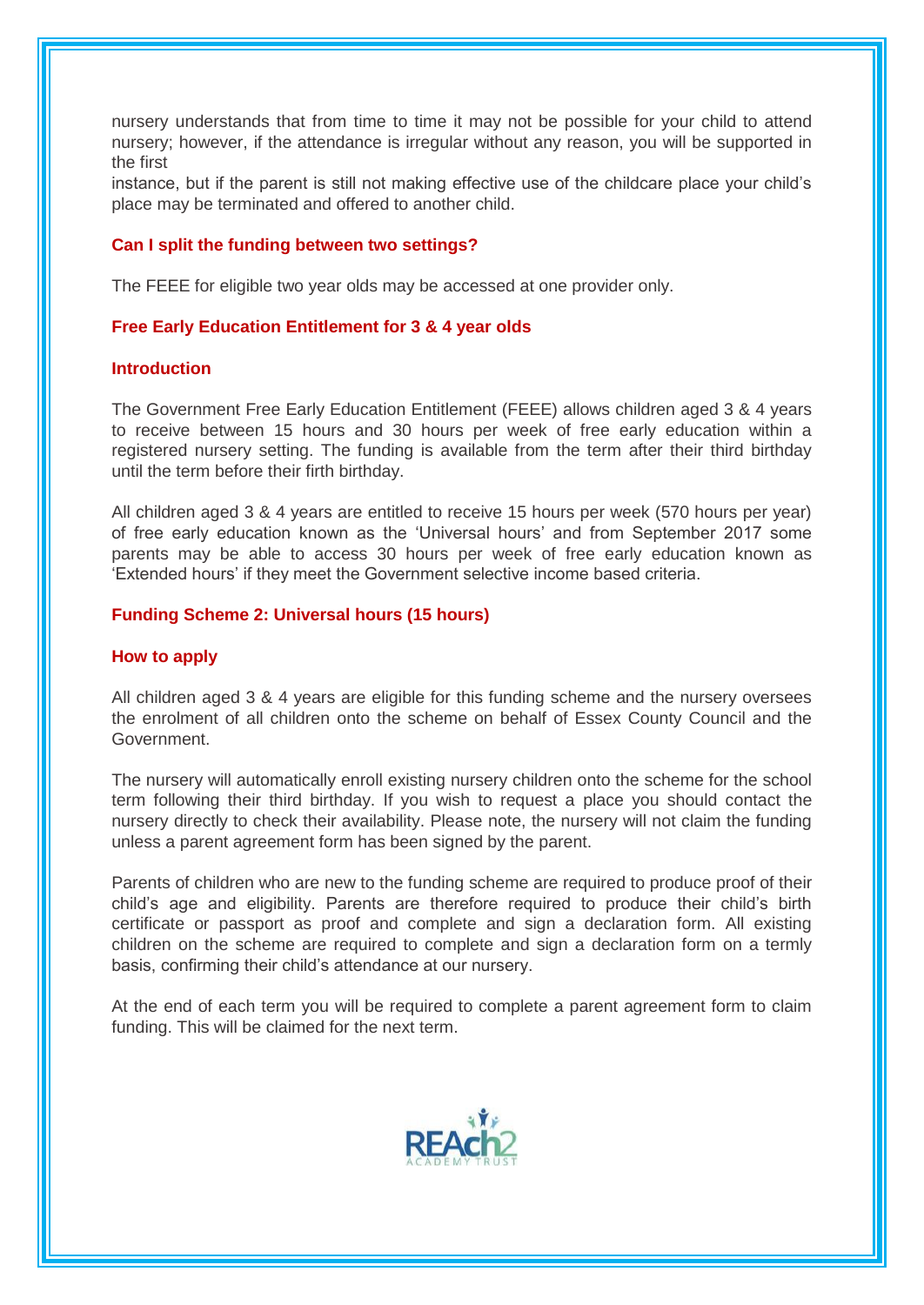nursery understands that from time to time it may not be possible for your child to attend nursery; however, if the attendance is irregular without any reason, you will be supported in the first

instance, but if the parent is still not making effective use of the childcare place your child's place may be terminated and offered to another child.

#### **Can I split the funding between two settings?**

The FEEE for eligible two year olds may be accessed at one provider only.

## **Free Early Education Entitlement for 3 & 4 year olds**

#### **Introduction**

The Government Free Early Education Entitlement (FEEE) allows children aged 3 & 4 years to receive between 15 hours and 30 hours per week of free early education within a registered nursery setting. The funding is available from the term after their third birthday until the term before their firth birthday.

All children aged 3 & 4 years are entitled to receive 15 hours per week (570 hours per year) of free early education known as the 'Universal hours' and from September 2017 some parents may be able to access 30 hours per week of free early education known as 'Extended hours' if they meet the Government selective income based criteria.

#### **Funding Scheme 2: Universal hours (15 hours)**

#### **How to apply**

All children aged 3 & 4 years are eligible for this funding scheme and the nursery oversees the enrolment of all children onto the scheme on behalf of Essex County Council and the Government.

The nursery will automatically enroll existing nursery children onto the scheme for the school term following their third birthday. If you wish to request a place you should contact the nursery directly to check their availability. Please note, the nursery will not claim the funding unless a parent agreement form has been signed by the parent.

Parents of children who are new to the funding scheme are required to produce proof of their child's age and eligibility. Parents are therefore required to produce their child's birth certificate or passport as proof and complete and sign a declaration form. All existing children on the scheme are required to complete and sign a declaration form on a termly basis, confirming their child's attendance at our nursery.

At the end of each term you will be required to complete a parent agreement form to claim funding. This will be claimed for the next term.

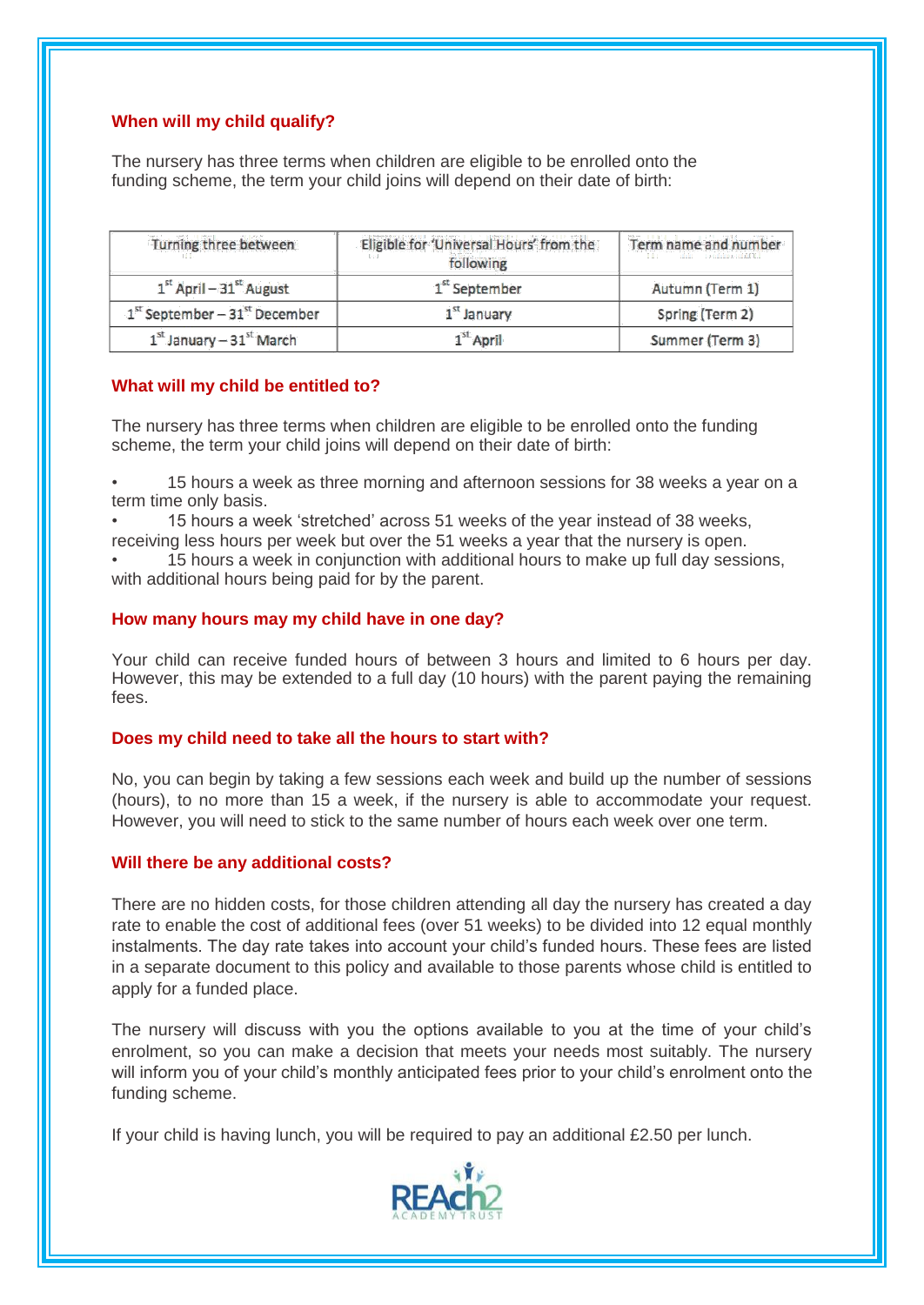# **When will my child qualify?**

The nursery has three terms when children are eligible to be enrolled onto the funding scheme, the term your child joins will depend on their date of birth:

| Turning three between           | Eligible for 'Universal Hours' from the<br>following | Term name and number<br>The company of the contract of the contract of the light |
|---------------------------------|------------------------------------------------------|----------------------------------------------------------------------------------|
| $1st$ April – 31 $st$ August    | 1 <sup>st</sup> September                            | Autumn (Term 1)                                                                  |
| $1st September - 31st December$ | $1st$ January                                        | Spring (Term 2)                                                                  |
| $1st$ January - $31st$ March    | $1st$ April                                          | Summer (Term 3)                                                                  |

# **What will my child be entitled to?**

The nursery has three terms when children are eligible to be enrolled onto the funding scheme, the term your child joins will depend on their date of birth:

- 15 hours a week as three morning and afternoon sessions for 38 weeks a year on a term time only basis.
- 15 hours a week 'stretched' across 51 weeks of the year instead of 38 weeks, receiving less hours per week but over the 51 weeks a year that the nursery is open.
- 15 hours a week in conjunction with additional hours to make up full day sessions, with additional hours being paid for by the parent.

# **How many hours may my child have in one day?**

Your child can receive funded hours of between 3 hours and limited to 6 hours per day. However, this may be extended to a full day (10 hours) with the parent paying the remaining fees.

## **Does my child need to take all the hours to start with?**

No, you can begin by taking a few sessions each week and build up the number of sessions (hours), to no more than 15 a week, if the nursery is able to accommodate your request. However, you will need to stick to the same number of hours each week over one term.

## **Will there be any additional costs?**

There are no hidden costs, for those children attending all day the nursery has created a day rate to enable the cost of additional fees (over 51 weeks) to be divided into 12 equal monthly instalments. The day rate takes into account your child's funded hours. These fees are listed in a separate document to this policy and available to those parents whose child is entitled to apply for a funded place.

The nursery will discuss with you the options available to you at the time of your child's enrolment, so you can make a decision that meets your needs most suitably. The nursery will inform you of your child's monthly anticipated fees prior to your child's enrolment onto the funding scheme.

If your child is having lunch, you will be required to pay an additional £2.50 per lunch.

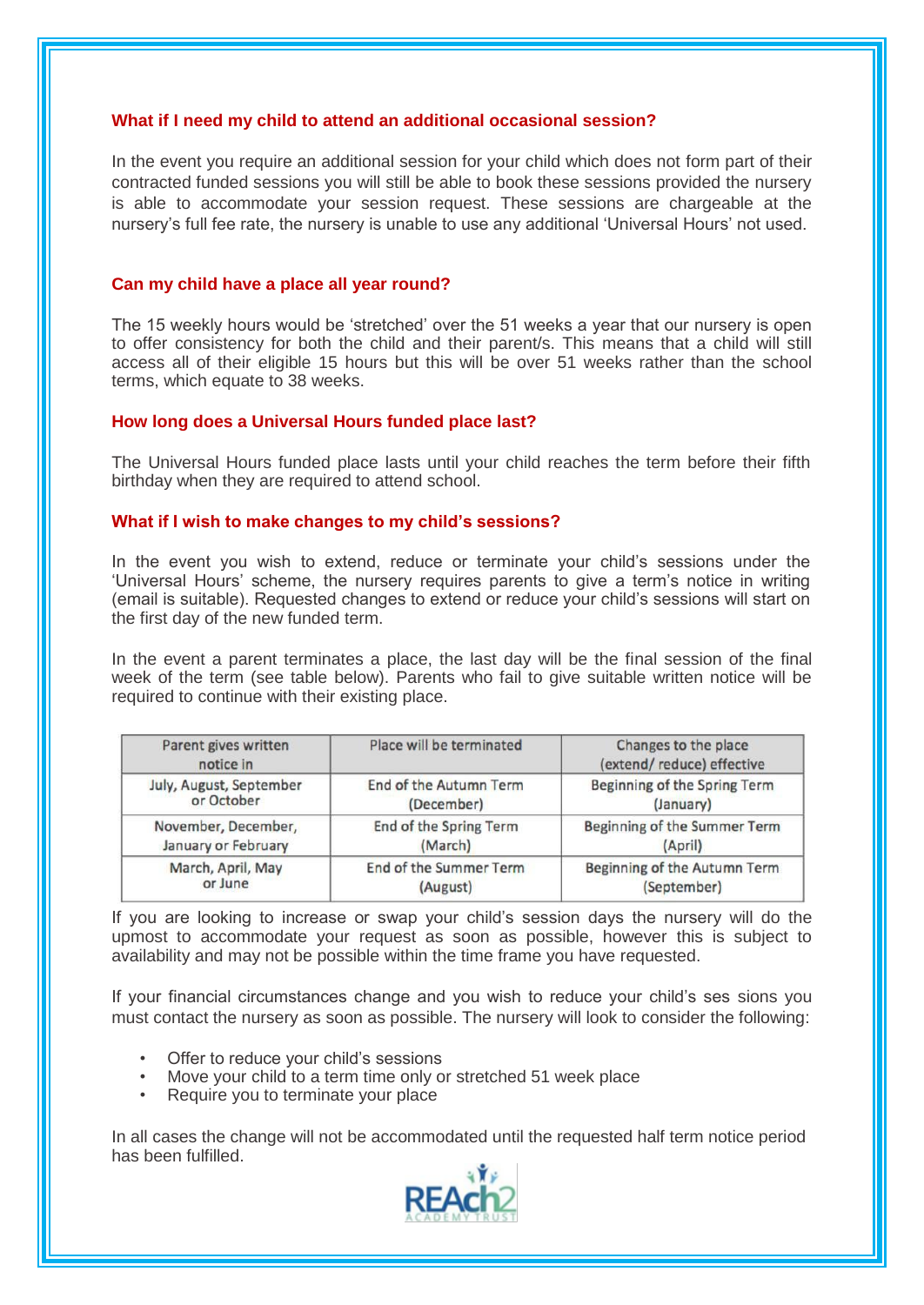#### **What if I need my child to attend an additional occasional session?**

In the event you require an additional session for your child which does not form part of their contracted funded sessions you will still be able to book these sessions provided the nursery is able to accommodate your session request. These sessions are chargeable at the nursery's full fee rate, the nursery is unable to use any additional 'Universal Hours' not used.

#### **Can my child have a place all year round?**

The 15 weekly hours would be 'stretched' over the 51 weeks a year that our nursery is open to offer consistency for both the child and their parent/s. This means that a child will still access all of their eligible 15 hours but this will be over 51 weeks rather than the school terms, which equate to 38 weeks.

#### **How long does a Universal Hours funded place last?**

The Universal Hours funded place lasts until your child reaches the term before their fifth birthday when they are required to attend school.

#### **What if I wish to make changes to my child's sessions?**

In the event you wish to extend, reduce or terminate your child's sessions under the 'Universal Hours' scheme, the nursery requires parents to give a term's notice in writing (email is suitable). Requested changes to extend or reduce your child's sessions will start on the first day of the new funded term.

In the event a parent terminates a place, the last day will be the final session of the final week of the term (see table below). Parents who fail to give suitable written notice will be required to continue with their existing place.

| Parent gives written<br>notice in | Place will be terminated      | Changes to the place<br>(extend/reduce) effective |
|-----------------------------------|-------------------------------|---------------------------------------------------|
| July, August, September           | <b>End of the Autumn Term</b> | Beginning of the Spring Term                      |
| or October                        | (December)                    | (January)                                         |
| November, December,               | End of the Spring Term        | Beginning of the Summer Term                      |
| January or February               | (March)                       | (April)                                           |
| March, April, May                 | <b>End of the Summer Term</b> | Beginning of the Autumn Term                      |
| or June                           | (August)                      | (September)                                       |

If you are looking to increase or swap your child's session days the nursery will do the upmost to accommodate your request as soon as possible, however this is subject to availability and may not be possible within the time frame you have requested.

If your financial circumstances change and you wish to reduce your child's ses sions you must contact the nursery as soon as possible. The nursery will look to consider the following:

- Offer to reduce your child's sessions
- Move your child to a term time only or stretched 51 week place
- Require you to terminate your place

In all cases the change will not be accommodated until the requested half term notice period has been fulfilled.

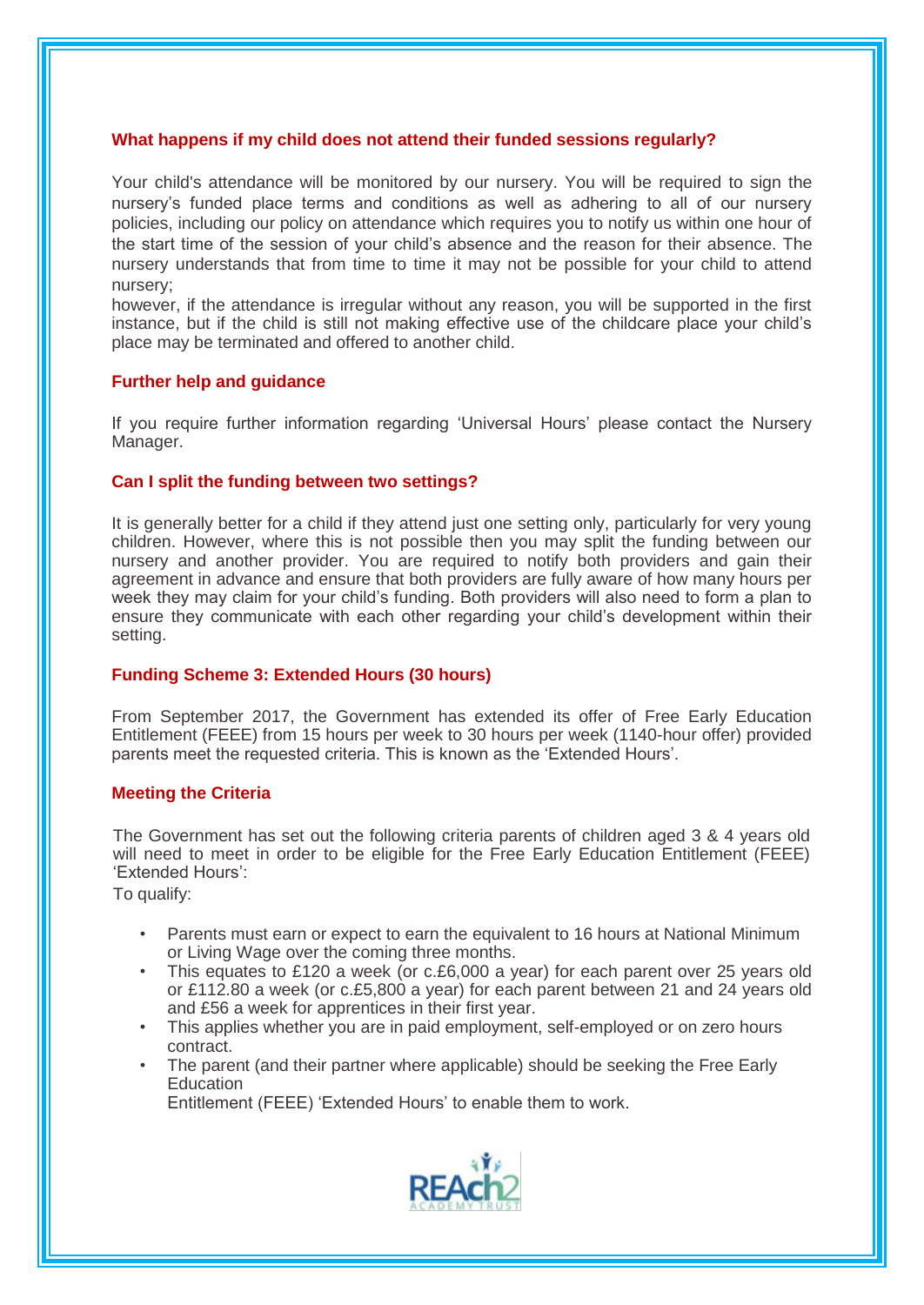## **What happens if my child does not attend their funded sessions regularly?**

Your child's attendance will be monitored by our nursery. You will be required to sign the nursery's funded place terms and conditions as well as adhering to all of our nursery policies, including our policy on attendance which requires you to notify us within one hour of the start time of the session of your child's absence and the reason for their absence. The nursery understands that from time to time it may not be possible for your child to attend nursery;

however, if the attendance is irregular without any reason, you will be supported in the first instance, but if the child is still not making effective use of the childcare place your child's place may be terminated and offered to another child.

# **Further help and guidance**

If you require further information regarding 'Universal Hours' please contact the Nursery Manager.

# **Can I split the funding between two settings?**

It is generally better for a child if they attend just one setting only, particularly for very young children. However, where this is not possible then you may split the funding between our nursery and another provider. You are required to notify both providers and gain their agreement in advance and ensure that both providers are fully aware of how many hours per week they may claim for your child's funding. Both providers will also need to form a plan to ensure they communicate with each other regarding your child's development within their setting.

## **Funding Scheme 3: Extended Hours (30 hours)**

From September 2017, the Government has extended its offer of Free Early Education Entitlement (FEEE) from 15 hours per week to 30 hours per week (1140-hour offer) provided parents meet the requested criteria. This is known as the 'Extended Hours'.

# **Meeting the Criteria**

The Government has set out the following criteria parents of children aged 3 & 4 years old will need to meet in order to be eligible for the Free Early Education Entitlement (FEEE) 'Extended Hours':

To qualify:

- Parents must earn or expect to earn the equivalent to 16 hours at National Minimum or Living Wage over the coming three months.
- This equates to £120 a week (or c.£6,000 a year) for each parent over 25 years old or £112.80 a week (or c.£5,800 a year) for each parent between 21 and 24 years old and £56 a week for apprentices in their first year.
- This applies whether you are in paid employment, self-employed or on zero hours contract.
- The parent (and their partner where applicable) should be seeking the Free Early **Education**

Entitlement (FEEE) 'Extended Hours' to enable them to work.

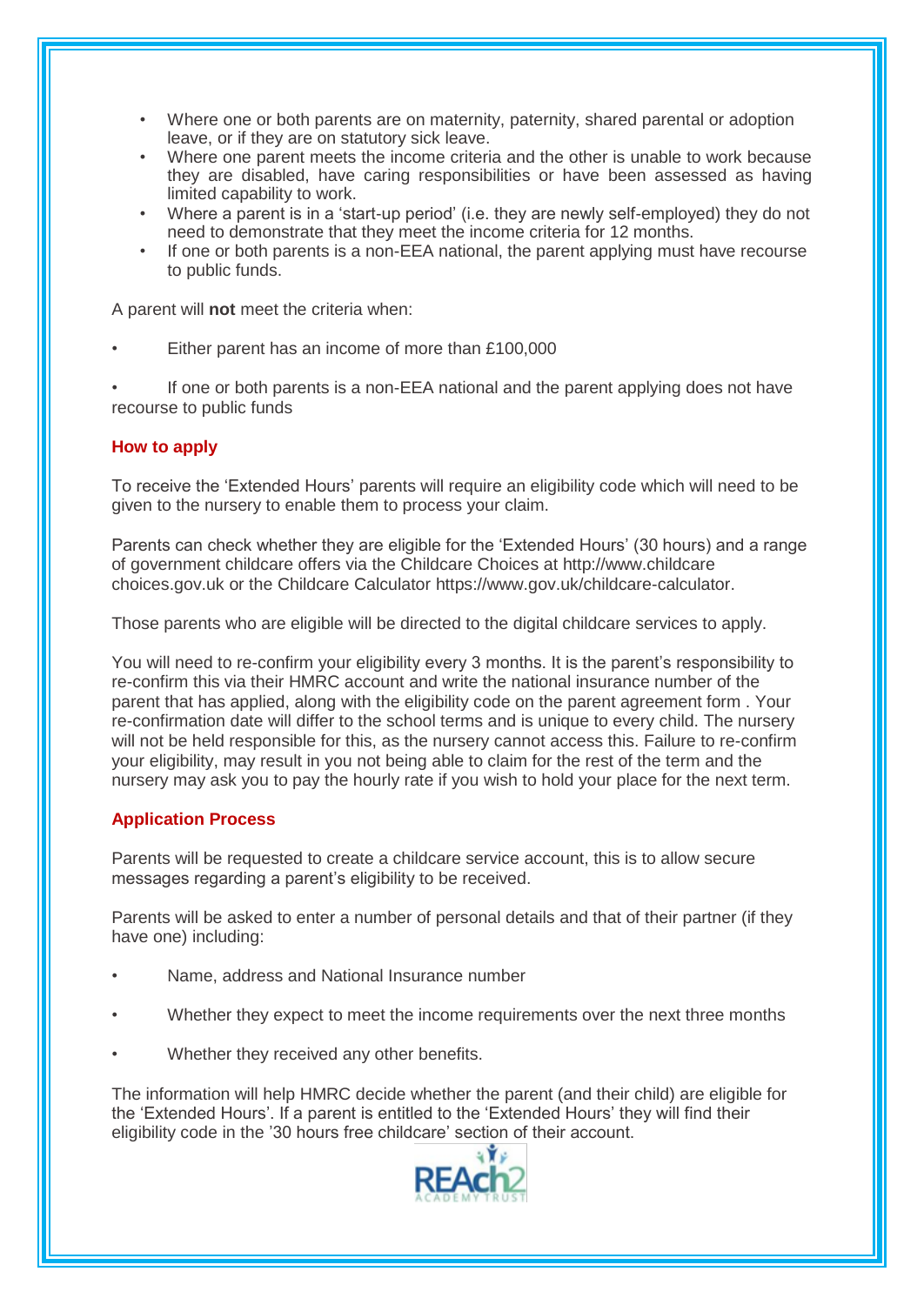- Where one or both parents are on maternity, paternity, shared parental or adoption leave, or if they are on statutory sick leave.
- Where one parent meets the income criteria and the other is unable to work because they are disabled, have caring responsibilities or have been assessed as having limited capability to work.
- Where a parent is in a 'start-up period' (i.e. they are newly self-employed) they do not need to demonstrate that they meet the income criteria for 12 months.
- If one or both parents is a non-EEA national, the parent applying must have recourse to public funds.

A parent will **not** meet the criteria when:

Either parent has an income of more than £100,000

• If one or both parents is a non-EEA national and the parent applying does not have recourse to public funds

# **How to apply**

To receive the 'Extended Hours' parents will require an eligibility code which will need to be given to the nursery to enable them to process your claim.

Parents can check whether they are eligible for the 'Extended Hours' (30 hours) and a range of government childcare offers via the Childcare Choices at http://www.childcare choices.gov.uk or the Childcare Calculator https://www.gov.uk/childcare-calculator.

Those parents who are eligible will be directed to the digital childcare services to apply.

You will need to re-confirm your eligibility every 3 months. It is the parent's responsibility to re-confirm this via their HMRC account and write the national insurance number of the parent that has applied, along with the eligibility code on the parent agreement form . Your re-confirmation date will differ to the school terms and is unique to every child. The nursery will not be held responsible for this, as the nursery cannot access this. Failure to re-confirm your eligibility, may result in you not being able to claim for the rest of the term and the nursery may ask you to pay the hourly rate if you wish to hold your place for the next term.

# **Application Process**

Parents will be requested to create a childcare service account, this is to allow secure messages regarding a parent's eligibility to be received.

Parents will be asked to enter a number of personal details and that of their partner (if they have one) including:

- Name, address and National Insurance number
- Whether they expect to meet the income requirements over the next three months
- Whether they received any other benefits.

The information will help HMRC decide whether the parent (and their child) are eligible for the 'Extended Hours'. If a parent is entitled to the 'Extended Hours' they will find their eligibility code in the '30 hours free childcare' section of their account.

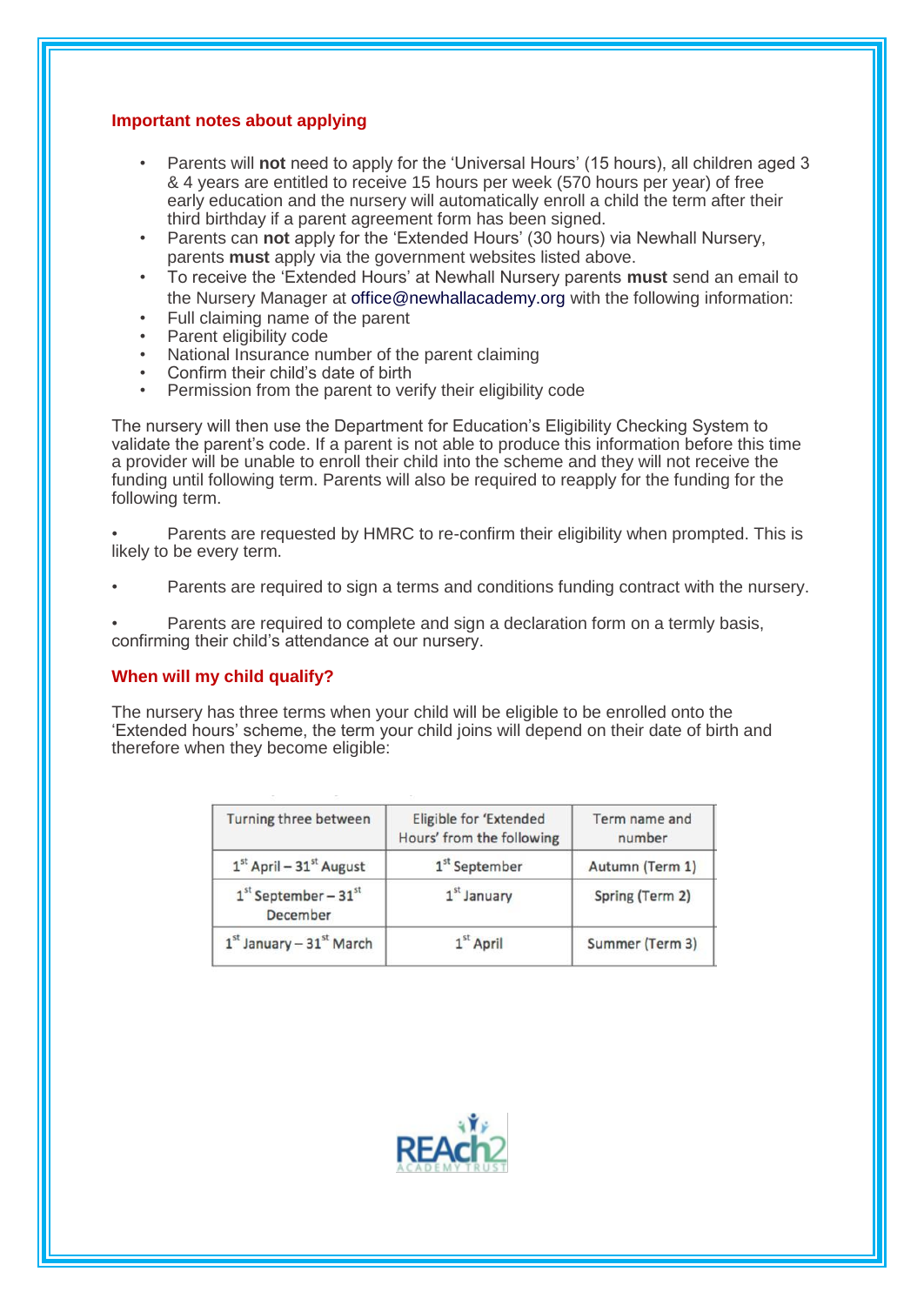## **Important notes about applying**

- Parents will **not** need to apply for the 'Universal Hours' (15 hours), all children aged 3 & 4 years are entitled to receive 15 hours per week (570 hours per year) of free early education and the nursery will automatically enroll a child the term after their third birthday if a parent agreement form has been signed.
- Parents can **not** apply for the 'Extended Hours' (30 hours) via Newhall Nursery, parents **must** apply via the government websites listed above.
- To receive the 'Extended Hours' at Newhall Nursery parents **must** send an email to the Nursery Manager at office@newhallacademy.org with the following information:
- Full claiming name of the parent
- Parent eligibility code
- National Insurance number of the parent claiming
- Confirm their child's date of birth
- Permission from the parent to verify their eligibility code

The nursery will then use the Department for Education's Eligibility Checking System to validate the parent's code. If a parent is not able to produce this information before this time a provider will be unable to enroll their child into the scheme and they will not receive the funding until following term. Parents will also be required to reapply for the funding for the following term.

• Parents are requested by HMRC to re-confirm their eligibility when prompted. This is likely to be every term.

• Parents are required to sign a terms and conditions funding contract with the nursery.

Parents are required to complete and sign a declaration form on a termly basis, confirming their child's attendance at our nursery.

## **When will my child qualify?**

The nursery has three terms when your child will be eligible to be enrolled onto the 'Extended hours' scheme, the term your child joins will depend on their date of birth and therefore when they become eligible:

| Turning three between                     | Eligible for 'Extended<br>Hours' from the following | Term name and<br>number |
|-------------------------------------------|-----------------------------------------------------|-------------------------|
| $1st$ April – 31 <sup>st</sup> August     | 1 <sup>st</sup> September                           | Autumn (Term 1)         |
| $1st September - 31st$<br><b>December</b> | $1st$ January                                       | Spring (Term 2)         |
| $1st$ January - 31 $st$ March             | $1st$ April                                         | Summer (Term 3)         |

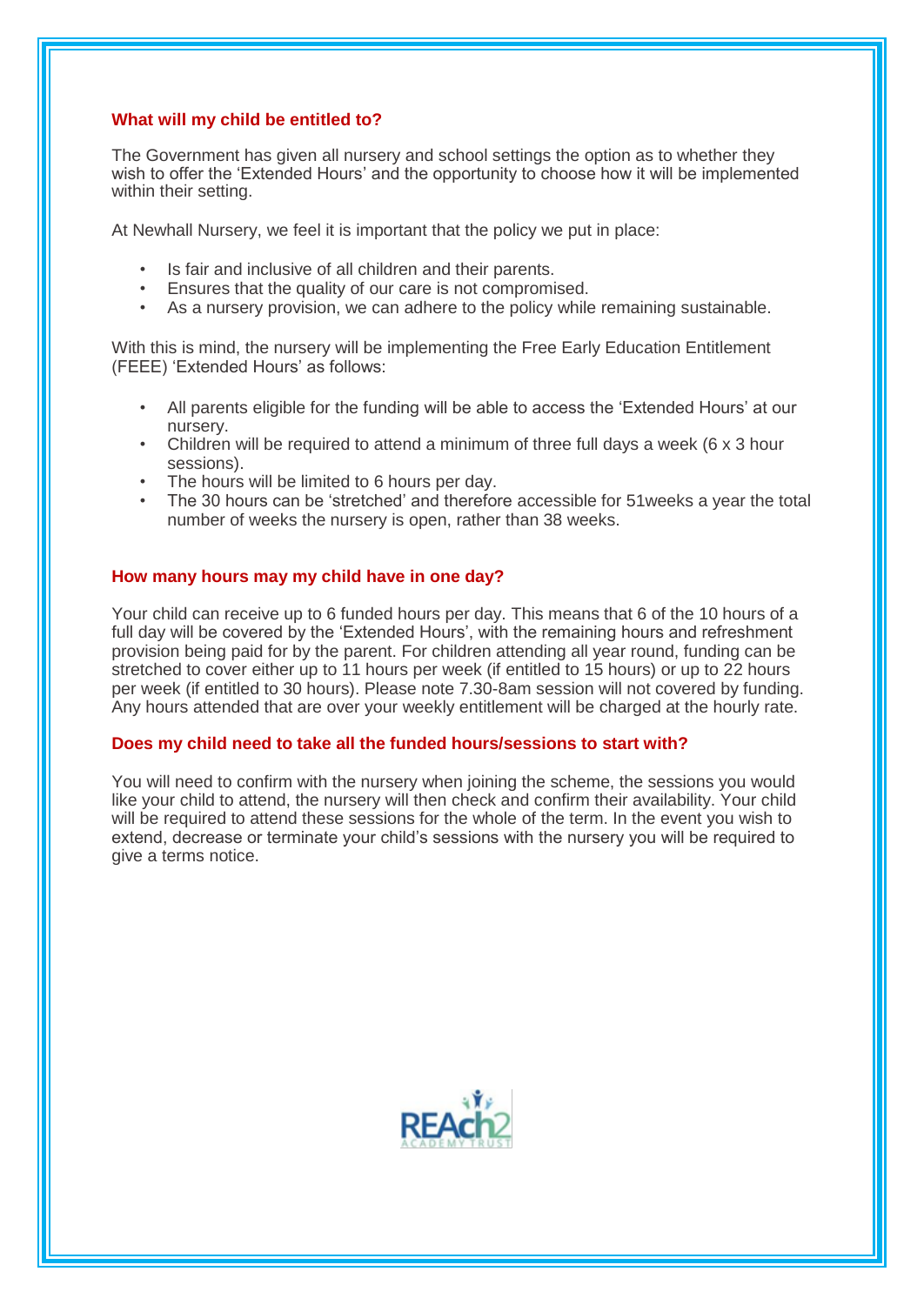# **What will my child be entitled to?**

The Government has given all nursery and school settings the option as to whether they wish to offer the 'Extended Hours' and the opportunity to choose how it will be implemented within their setting.

At Newhall Nursery, we feel it is important that the policy we put in place:

- Is fair and inclusive of all children and their parents.
- Ensures that the quality of our care is not compromised.
- As a nursery provision, we can adhere to the policy while remaining sustainable.

With this is mind, the nursery will be implementing the Free Early Education Entitlement (FEEE) 'Extended Hours' as follows:

- All parents eligible for the funding will be able to access the 'Extended Hours' at our nursery.
- Children will be required to attend a minimum of three full days a week (6 x 3 hour sessions).
- The hours will be limited to 6 hours per day.
- The 30 hours can be 'stretched' and therefore accessible for 51weeks a year the total number of weeks the nursery is open, rather than 38 weeks.

## **How many hours may my child have in one day?**

Your child can receive up to 6 funded hours per day. This means that 6 of the 10 hours of a full day will be covered by the 'Extended Hours', with the remaining hours and refreshment provision being paid for by the parent. For children attending all year round, funding can be stretched to cover either up to 11 hours per week (if entitled to 15 hours) or up to 22 hours per week (if entitled to 30 hours). Please note 7.30-8am session will not covered by funding. Any hours attended that are over your weekly entitlement will be charged at the hourly rate.

## **Does my child need to take all the funded hours/sessions to start with?**

You will need to confirm with the nursery when joining the scheme, the sessions you would like your child to attend, the nursery will then check and confirm their availability. Your child will be required to attend these sessions for the whole of the term. In the event you wish to extend, decrease or terminate your child's sessions with the nursery you will be required to give a terms notice.

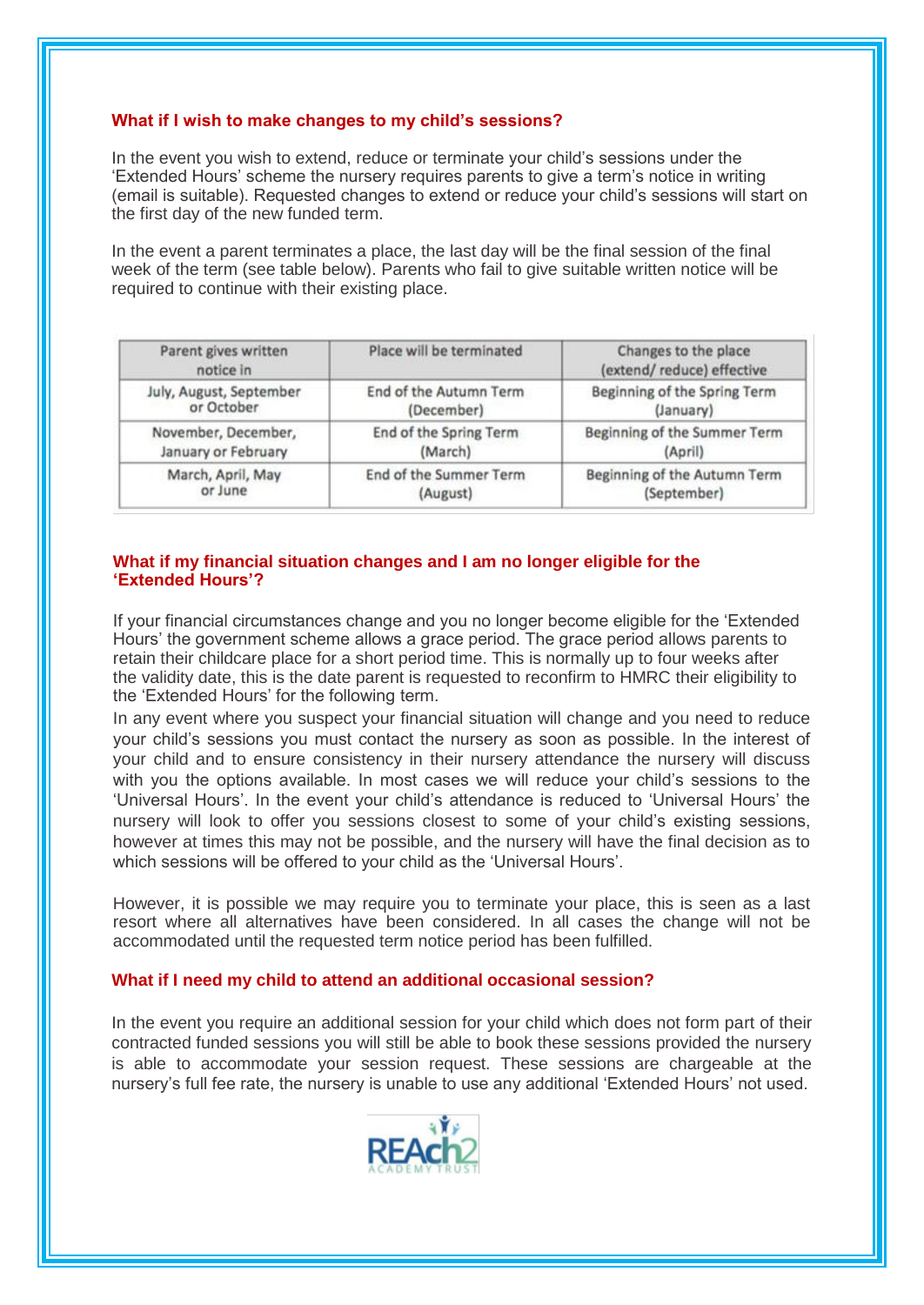# **What if I wish to make changes to my child's sessions?**

In the event you wish to extend, reduce or terminate your child's sessions under the 'Extended Hours' scheme the nursery requires parents to give a term's notice in writing (email is suitable). Requested changes to extend or reduce your child's sessions will start on the first day of the new funded term.

In the event a parent terminates a place, the last day will be the final session of the final week of the term (see table below). Parents who fail to give suitable written notice will be required to continue with their existing place.

| Parent gives written<br>notice in | Place will be terminated | Changes to the place<br>(extend/reduce) effective |
|-----------------------------------|--------------------------|---------------------------------------------------|
| July, August, September           | End of the Autumn Term   | Beginning of the Spring Term                      |
| or October                        | (December)               | (January)                                         |
| November, December,               | End of the Spring Term   | Beginning of the Summer Term                      |
| January or February               | (March)                  | (April)                                           |
| March, April, May                 | End of the Summer Term   | Beginning of the Autumn Term                      |
| or June                           | (August)                 | (September)                                       |

# **What if my financial situation changes and I am no longer eligible for the 'Extended Hours'?**

If your financial circumstances change and you no longer become eligible for the 'Extended Hours' the government scheme allows a grace period. The grace period allows parents to retain their childcare place for a short period time. This is normally up to four weeks after the validity date, this is the date parent is requested to reconfirm to HMRC their eligibility to the 'Extended Hours' for the following term.

In any event where you suspect your financial situation will change and you need to reduce your child's sessions you must contact the nursery as soon as possible. In the interest of your child and to ensure consistency in their nursery attendance the nursery will discuss with you the options available. In most cases we will reduce your child's sessions to the 'Universal Hours'. In the event your child's attendance is reduced to 'Universal Hours' the nursery will look to offer you sessions closest to some of your child's existing sessions, however at times this may not be possible, and the nursery will have the final decision as to which sessions will be offered to your child as the 'Universal Hours'.

However, it is possible we may require you to terminate your place, this is seen as a last resort where all alternatives have been considered. In all cases the change will not be accommodated until the requested term notice period has been fulfilled.

## **What if I need my child to attend an additional occasional session?**

In the event you require an additional session for your child which does not form part of their contracted funded sessions you will still be able to book these sessions provided the nursery is able to accommodate your session request. These sessions are chargeable at the nursery's full fee rate, the nursery is unable to use any additional 'Extended Hours' not used.

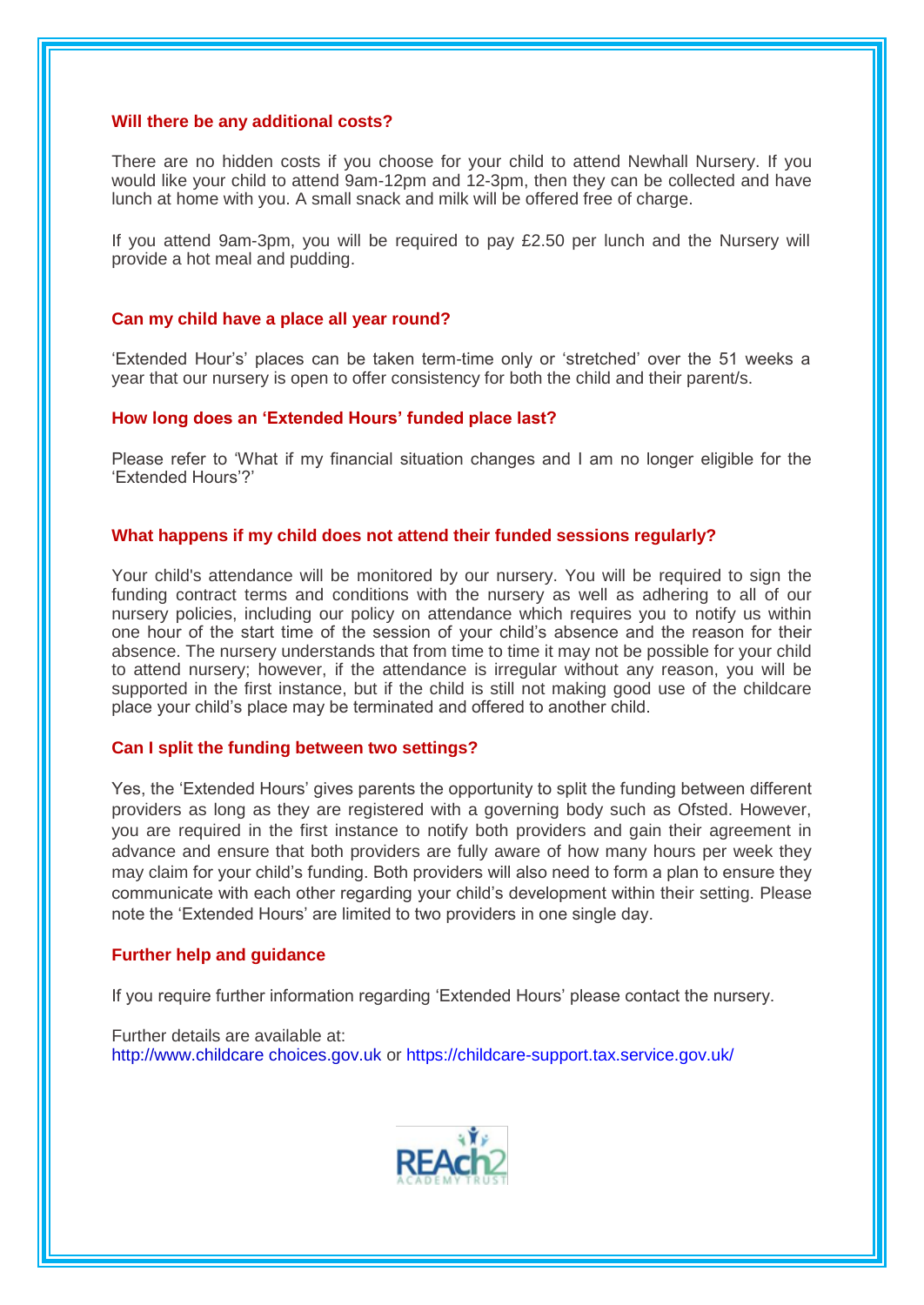#### **Will there be any additional costs?**

There are no hidden costs if you choose for your child to attend Newhall Nursery. If you would like your child to attend 9am-12pm and 12-3pm, then they can be collected and have lunch at home with you. A small snack and milk will be offered free of charge.

If you attend 9am-3pm, you will be required to pay £2.50 per lunch and the Nursery will provide a hot meal and pudding.

#### **Can my child have a place all year round?**

'Extended Hour's' places can be taken term-time only or 'stretched' over the 51 weeks a year that our nursery is open to offer consistency for both the child and their parent/s.

#### **How long does an 'Extended Hours' funded place last?**

Please refer to 'What if my financial situation changes and I am no longer eligible for the 'Extended Hours'?'

#### **What happens if my child does not attend their funded sessions regularly?**

Your child's attendance will be monitored by our nursery. You will be required to sign the funding contract terms and conditions with the nursery as well as adhering to all of our nursery policies, including our policy on attendance which requires you to notify us within one hour of the start time of the session of your child's absence and the reason for their absence. The nursery understands that from time to time it may not be possible for your child to attend nursery; however, if the attendance is irregular without any reason, you will be supported in the first instance, but if the child is still not making good use of the childcare place your child's place may be terminated and offered to another child.

#### **Can I split the funding between two settings?**

Yes, the 'Extended Hours' gives parents the opportunity to split the funding between different providers as long as they are registered with a governing body such as Ofsted. However, you are required in the first instance to notify both providers and gain their agreement in advance and ensure that both providers are fully aware of how many hours per week they may claim for your child's funding. Both providers will also need to form a plan to ensure they communicate with each other regarding your child's development within their setting. Please note the 'Extended Hours' are limited to two providers in one single day.

#### **Further help and guidance**

If you require further information regarding 'Extended Hours' please contact the nursery.

Further details are available at: http://www.childcare choices.gov.uk or https://childcare-support.tax.service.gov.uk/